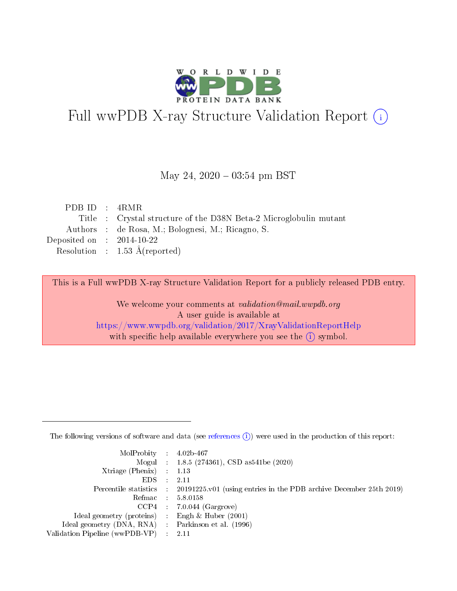

# Full wwPDB X-ray Structure Validation Report (i)

#### May 24,  $2020 - 03:54$  pm BST

| PDB ID : $4RMR$                      |                                                                   |
|--------------------------------------|-------------------------------------------------------------------|
|                                      | Title : Crystal structure of the D38N Beta-2 Microglobulin mutant |
|                                      | Authors : de Rosa, M.; Bolognesi, M.; Ricagno, S.                 |
| Deposited on $\therefore$ 2014-10-22 |                                                                   |
|                                      | Resolution : $1.53 \text{ Å}$ (reported)                          |
|                                      |                                                                   |

This is a Full wwPDB X-ray Structure Validation Report for a publicly released PDB entry.

We welcome your comments at validation@mail.wwpdb.org A user guide is available at <https://www.wwpdb.org/validation/2017/XrayValidationReportHelp> with specific help available everywhere you see the  $(i)$  symbol.

The following versions of software and data (see [references](https://www.wwpdb.org/validation/2017/XrayValidationReportHelp#references)  $(1)$ ) were used in the production of this report:

| MolProbity : $4.02b-467$                            |                                                                                            |
|-----------------------------------------------------|--------------------------------------------------------------------------------------------|
|                                                     | Mogul : $1.8.5$ (274361), CSD as 541be (2020)                                              |
| $Xtriangle (Phenix)$ : 1.13                         |                                                                                            |
| $EDS$ :                                             | -2.11                                                                                      |
|                                                     | Percentile statistics : 20191225.v01 (using entries in the PDB archive December 25th 2019) |
| Refmac : 5.8.0158                                   |                                                                                            |
|                                                     | $CCP4$ 7.0.044 (Gargrove)                                                                  |
| Ideal geometry (proteins) : Engh $\&$ Huber (2001)  |                                                                                            |
| Ideal geometry (DNA, RNA) : Parkinson et al. (1996) |                                                                                            |
| Validation Pipeline (wwPDB-VP) : 2.11               |                                                                                            |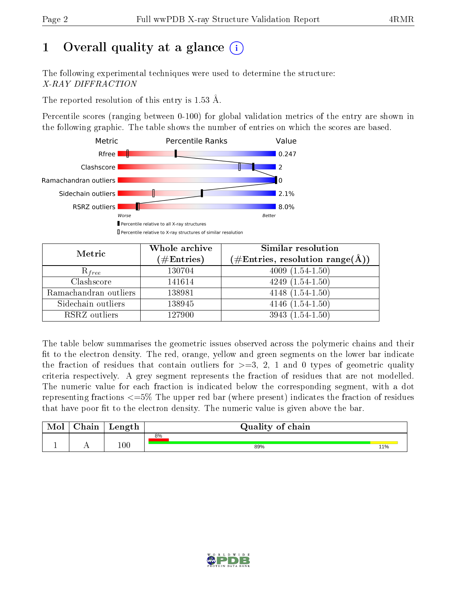# 1 [O](https://www.wwpdb.org/validation/2017/XrayValidationReportHelp#overall_quality)verall quality at a glance  $(i)$

The following experimental techniques were used to determine the structure: X-RAY DIFFRACTION

The reported resolution of this entry is 1.53 Å.

Percentile scores (ranging between 0-100) for global validation metrics of the entry are shown in the following graphic. The table shows the number of entries on which the scores are based.



| Metric                | Whole archive<br>$(\#\mathrm{Entries})$ | Similar resolution<br>$(\#\text{Entries}, \text{resolution range}(\textup{\AA}))$ |
|-----------------------|-----------------------------------------|-----------------------------------------------------------------------------------|
| $R_{free}$            | 130704                                  | $4009(1.54-1.50)$                                                                 |
| Clashscore            | 141614                                  | $4249(1.54-1.50)$                                                                 |
| Ramachandran outliers | 138981                                  | $4148(1.54-1.50)$                                                                 |
| Sidechain outliers    | 138945                                  | $4146(1.54-1.50)$                                                                 |
| RSRZ outliers         | 127900                                  | $3943(1.54-1.50)$                                                                 |

The table below summarises the geometric issues observed across the polymeric chains and their fit to the electron density. The red, orange, yellow and green segments on the lower bar indicate the fraction of residues that contain outliers for  $>=3, 2, 1$  and 0 types of geometric quality criteria respectively. A grey segment represents the fraction of residues that are not modelled. The numeric value for each fraction is indicated below the corresponding segment, with a dot representing fractions  $\epsilon=5\%$  The upper red bar (where present) indicates the fraction of residues that have poor fit to the electron density. The numeric value is given above the bar.

| Mol | $\sim$ $\sim$<br>hain | Length  | Quality of chain |     |  |  |  |  |  |  |
|-----|-----------------------|---------|------------------|-----|--|--|--|--|--|--|
|     |                       |         | 8%               |     |  |  |  |  |  |  |
| д.  | . .                   | $100\,$ | 89%              | 11% |  |  |  |  |  |  |

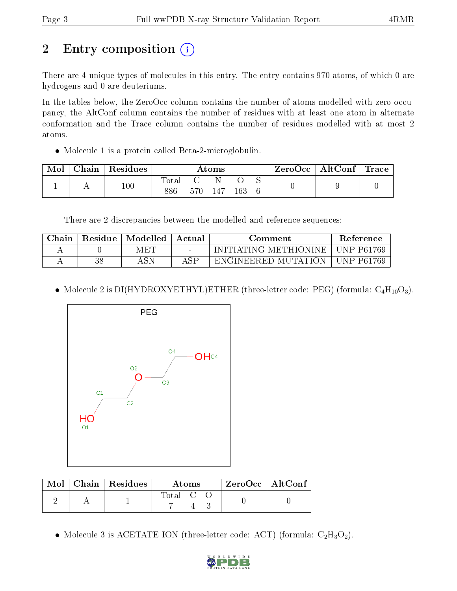# 2 Entry composition  $\left( \cdot \right)$

There are 4 unique types of molecules in this entry. The entry contains 970 atoms, of which 0 are hydrogens and 0 are deuteriums.

In the tables below, the ZeroOcc column contains the number of atoms modelled with zero occupancy, the AltConf column contains the number of residues with at least one atom in alternate conformation and the Trace column contains the number of residues modelled with at most 2 atoms.

Molecule 1 is a protein called Beta-2-microglobulin.

| Mol | Chain   Residues | Atoms                   |     |     | $\text{ZeroOcc} \mid \text{AltConf} \mid \text{Trace}$ |  |  |  |
|-----|------------------|-------------------------|-----|-----|--------------------------------------------------------|--|--|--|
|     | 100              | $\mathrm{Total}$<br>886 | 570 | 147 | 163                                                    |  |  |  |

There are 2 discrepancies between the modelled and reference sequences:

| $\operatorname{\mathsf{Chain}}$ | Residue | $^\mathrm{+}$ Modelled $^\mathrm{+}$ | Actual | Comment                 |              |
|---------------------------------|---------|--------------------------------------|--------|-------------------------|--------------|
|                                 |         | MET                                  |        | INITIATING METHIONINE   | UNP P61769   |
|                                 | 38      | C <sub>N</sub>                       | A C D  | MUTATION<br>ENGINEERED. | . UNP P61769 |

• Molecule 2 is DI(HYDROXYETHYL)ETHER (three-letter code: PEG) (formula:  $C_4H_{10}O_3$ ).



|  | $\text{Mol}$   Chain   Residues | Atoms   |  |  | $\rm ZeroOcc$   $\rm AltConf$ |  |
|--|---------------------------------|---------|--|--|-------------------------------|--|
|  |                                 | Total C |  |  |                               |  |

• Molecule 3 is ACETATE ION (three-letter code: ACT) (formula:  $C_2H_3O_2$ ).

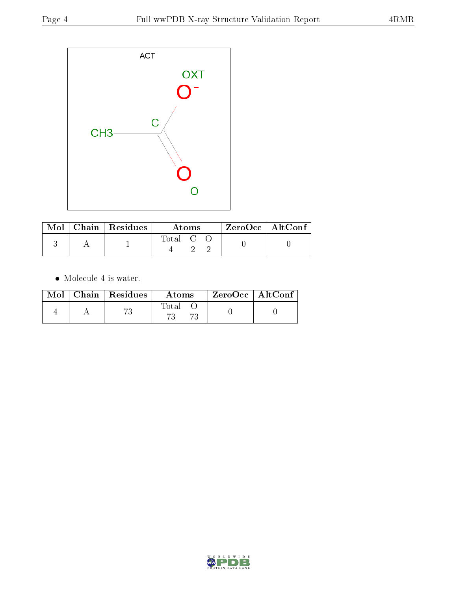

|  | $\text{Mol}$   Chain   Residues | Atoms   |  |  | ZeroOcc   AltConf |  |
|--|---------------------------------|---------|--|--|-------------------|--|
|  |                                 | Total C |  |  |                   |  |

 $\bullet\,$  Molecule 4 is water.

|  | $Mol$   Chain   Residues | Atoms | $\rm{ZeroOcc}$   AltConf |  |
|--|--------------------------|-------|--------------------------|--|
|  |                          | Total |                          |  |

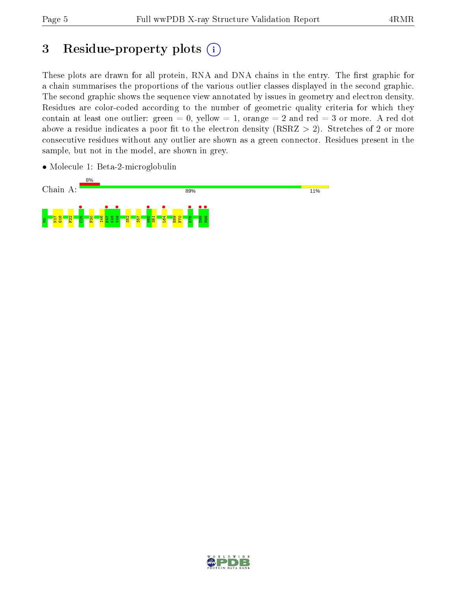# 3 Residue-property plots  $(i)$

These plots are drawn for all protein, RNA and DNA chains in the entry. The first graphic for a chain summarises the proportions of the various outlier classes displayed in the second graphic. The second graphic shows the sequence view annotated by issues in geometry and electron density. Residues are color-coded according to the number of geometric quality criteria for which they contain at least one outlier: green  $= 0$ , yellow  $= 1$ , orange  $= 2$  and red  $= 3$  or more. A red dot above a residue indicates a poor fit to the electron density (RSRZ  $> 2$ ). Stretches of 2 or more consecutive residues without any outlier are shown as a green connector. Residues present in the sample, but not in the model, are shown in grey.

• Molecule 1: Beta-2-microglobulin



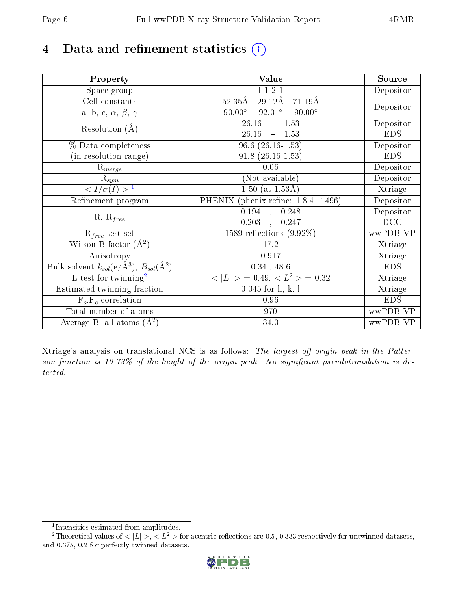# 4 Data and refinement statistics  $(i)$

| Property                                                   | <b>Value</b>                                                | Source     |
|------------------------------------------------------------|-------------------------------------------------------------|------------|
| Space group                                                | I 1 2 1                                                     | Depositor  |
| Cell constants                                             | $29.12\text{\AA}$<br>$52.35\text{\AA}$<br>$71.19\text{\AA}$ |            |
| a, b, c, $\alpha$ , $\beta$ , $\gamma$                     | $90.00^\circ$<br>$92.01^\circ$<br>$90.00^\circ$             | Depositor  |
| Resolution $(A)$                                           | 26.16<br>$-1.53$                                            | Depositor  |
|                                                            | 26.16<br>1.53<br>$\equiv$                                   | <b>EDS</b> |
| % Data completeness                                        | $96.6$ $(26.16-1.53)$                                       | Depositor  |
| (in resolution range)                                      | $91.8(26.16-1.53)$                                          | <b>EDS</b> |
| $R_{merge}$                                                | 0.06                                                        | Depositor  |
| $\mathrm{R}_{sym}$                                         | (Not available)                                             | Depositor  |
| $\langle I/\sigma(I) \rangle^{-1}$                         | $\overline{1.50}$ (at 1.53Å)                                | Xtriage    |
| Refinement program                                         | PHENIX (phenix.refine: 1.8.4 1496)                          | Depositor  |
|                                                            | $\overline{0.194}$ ,<br>0.248                               | Depositor  |
| $R, R_{free}$                                              | 0.203<br>0.247                                              | DCC        |
| $R_{free}$ test set                                        | 1589 reflections $(9.92\%)$                                 | wwPDB-VP   |
| Wilson B-factor $(A^2)$                                    | 17.2                                                        | Xtriage    |
| Anisotropy                                                 | 0.917                                                       | Xtriage    |
| Bulk solvent $k_{sol}$ (e/Å <sup>3</sup> ), $B_{sol}(A^2)$ | $0.34$ , 48.6                                               | <b>EDS</b> |
| $\overline{L-test for}$ twinning <sup>2</sup>              | $< L >$ = 0.49, $< L2$ = 0.32                               | Xtriage    |
| Estimated twinning fraction                                | $0.045$ for h,-k,-l                                         | Xtriage    |
| $F_o, F_c$ correlation                                     | 0.96                                                        | <b>EDS</b> |
| Total number of atoms                                      | 970                                                         | wwPDB-VP   |
| Average B, all atoms $(A^2)$                               | 34.0                                                        | wwPDB-VP   |

Xtriage's analysis on translational NCS is as follows: The largest off-origin peak in the Patterson function is 10.73% of the height of the origin peak. No significant pseudotranslation is detected.

<sup>&</sup>lt;sup>2</sup>Theoretical values of  $\langle |L| \rangle$ ,  $\langle L^2 \rangle$  for acentric reflections are 0.5, 0.333 respectively for untwinned datasets, and 0.375, 0.2 for perfectly twinned datasets.



<span id="page-5-1"></span><span id="page-5-0"></span><sup>1</sup> Intensities estimated from amplitudes.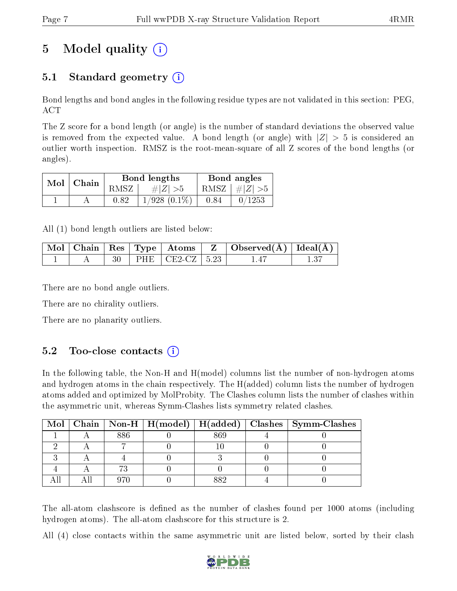# 5 Model quality  $(i)$

### 5.1 Standard geometry  $(i)$

Bond lengths and bond angles in the following residue types are not validated in this section: PEG, ACT

The Z score for a bond length (or angle) is the number of standard deviations the observed value is removed from the expected value. A bond length (or angle) with  $|Z| > 5$  is considered an outlier worth inspection. RMSZ is the root-mean-square of all Z scores of the bond lengths (or angles).

| $Mol$   Chain |      | Bond lengths      | Bond angles |                 |  |
|---------------|------|-------------------|-------------|-----------------|--|
|               | RMSZ | # Z  > 5          |             | RMSZ $ #Z  > 5$ |  |
|               | 0.82 | $1/928$ $(0.1\%)$ | 0.84        | 0/1253          |  |

All (1) bond length outliers are listed below:

|  |  |                                        | $\mid$ Mol $\mid$ Chain $\mid$ Res $\mid$ Type $\mid$ Atoms $\mid$ Z $\mid$ Observed(A) $\mid$ Ideal(A) $\mid$ |  |
|--|--|----------------------------------------|----------------------------------------------------------------------------------------------------------------|--|
|  |  | 30   PHE $\vert$ CE2-CZ   5.23 $\vert$ |                                                                                                                |  |

There are no bond angle outliers.

There are no chirality outliers.

There are no planarity outliers.

### $5.2$  Too-close contacts  $(i)$

In the following table, the Non-H and H(model) columns list the number of non-hydrogen atoms and hydrogen atoms in the chain respectively. The H(added) column lists the number of hydrogen atoms added and optimized by MolProbity. The Clashes column lists the number of clashes within the asymmetric unit, whereas Symm-Clashes lists symmetry related clashes.

|  |     |     | Mol   Chain   Non-H   $H(model)$   $H(added)$   Clashes   Symm-Clashes |
|--|-----|-----|------------------------------------------------------------------------|
|  | 886 | 869 |                                                                        |
|  |     |     |                                                                        |
|  |     |     |                                                                        |
|  |     |     |                                                                        |
|  |     |     |                                                                        |

The all-atom clashscore is defined as the number of clashes found per 1000 atoms (including hydrogen atoms). The all-atom clashscore for this structure is 2.

All (4) close contacts within the same asymmetric unit are listed below, sorted by their clash

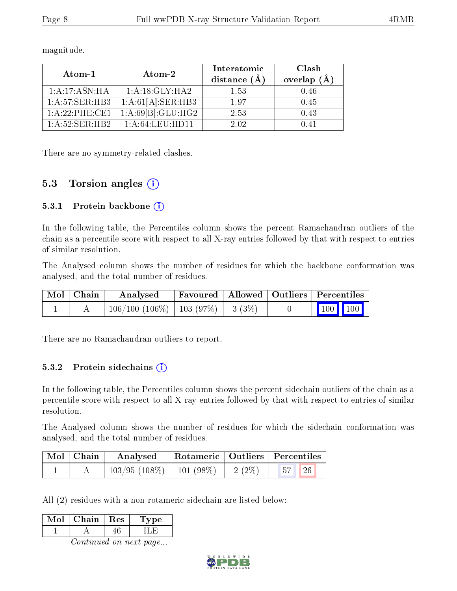| Atom-1           | Atom-2                                    | Interatomic<br>distance $(A)$ | Clash<br>overlap $(\AA)$ |
|------------------|-------------------------------------------|-------------------------------|--------------------------|
| 1:A:17:ASN:HA    | 1: A:18: GLY:HA2                          | 1.53                          | 0.46                     |
| 1: A:57: SER:HB3 | 1:A:61[A]:SER:HB3                         | 197                           | 0.45                     |
| 1:A:22:PHE:CE1   | $1:\overline{A:69 B }:\overline{GLU:HG2}$ | 2.53                          | 0.43                     |
| 1: A:52: SER:HB2 | 1: A:64:LEU:HD11                          | 2.02                          |                          |

magnitude.

There are no symmetry-related clashes.

### 5.3 Torsion angles (i)

#### 5.3.1 Protein backbone  $(i)$

In the following table, the Percentiles column shows the percent Ramachandran outliers of the chain as a percentile score with respect to all X-ray entries followed by that with respect to entries of similar resolution.

The Analysed column shows the number of residues for which the backbone conformation was analysed, and the total number of residues.

| $\mid$ Mol $\mid$ Chain | Analysed                                       | Favoured   Allowed   Outliers   Percentiles |  |                                                                  |  |
|-------------------------|------------------------------------------------|---------------------------------------------|--|------------------------------------------------------------------|--|
|                         | $106/100$ $(106\%)$   103 $(97\%)$   3 $(3\%)$ |                                             |  | $\begin{array}{ c c c c c }\n\hline\n1 & 100 & 100\n\end{array}$ |  |

There are no Ramachandran outliers to report.

#### 5.3.2 Protein sidechains (i)

In the following table, the Percentiles column shows the percent sidechain outliers of the chain as a percentile score with respect to all X-ray entries followed by that with respect to entries of similar resolution.

The Analysed column shows the number of residues for which the sidechain conformation was analysed, and the total number of residues.

| Mol   Chain | Analysed                      |          | Rotameric   Outliers   Percentiles |  |
|-------------|-------------------------------|----------|------------------------------------|--|
|             | $103/95$ (108\%)   101 (98\%) | 2 $(2%)$ | 57 <br>$\sqrt{26}$                 |  |

All (2) residues with a non-rotameric sidechain are listed below:

| Vlol | Chain | $+$ Res $+$ | 'oe |
|------|-------|-------------|-----|
|      |       |             |     |

Continued on next page...

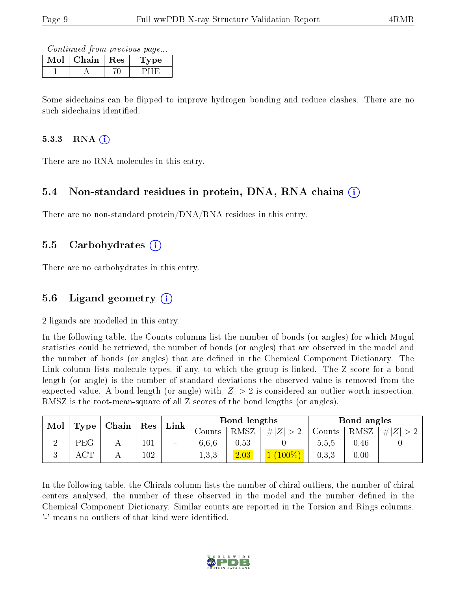Continued from previous page...

| Chain | Res | 7 pe |
|-------|-----|------|
|       |     |      |

Some sidechains can be flipped to improve hydrogen bonding and reduce clashes. There are no such sidechains identified.

#### $5.3.3$  RNA  $(i)$

There are no RNA molecules in this entry.

#### 5.4 Non-standard residues in protein, DNA, RNA chains (i)

There are no non-standard protein/DNA/RNA residues in this entry.

#### 5.5 Carbohydrates (i)

There are no carbohydrates in this entry.

### 5.6 Ligand geometry (i)

2 ligands are modelled in this entry.

In the following table, the Counts columns list the number of bonds (or angles) for which Mogul statistics could be retrieved, the number of bonds (or angles) that are observed in the model and the number of bonds (or angles) that are defined in the Chemical Component Dictionary. The Link column lists molecule types, if any, to which the group is linked. The Z score for a bond length (or angle) is the number of standard deviations the observed value is removed from the expected value. A bond length (or angle) with  $|Z| > 2$  is considered an outlier worth inspection. RMSZ is the root-mean-square of all Z scores of the bond lengths (or angles).

| Mol | $\perp$ Chain $\perp$ |  | $^{\dagger}$ Res | Bond lengths<br>$\mathop{\rm Link}\nolimits$ |               |      | Bond angles |        |      |        |
|-----|-----------------------|--|------------------|----------------------------------------------|---------------|------|-------------|--------|------|--------|
|     | Type                  |  |                  |                                              | $\frac{1}{2}$ | RMSZ | #I<br> Z    | Counts | RMSZ | # Z    |
|     | PEG                   |  | $101\,$          | $\sim$                                       | 6.6.6         | 0.53 |             | 0.5.5  | 0.46 |        |
|     | ACT                   |  | 102              | $\blacksquare$                               | 1,3,3         | 2.03 | $(100\%)$   | 0.3.3  | 0.00 | $\sim$ |

In the following table, the Chirals column lists the number of chiral outliers, the number of chiral centers analysed, the number of these observed in the model and the number defined in the Chemical Component Dictionary. Similar counts are reported in the Torsion and Rings columns. '-' means no outliers of that kind were identified.

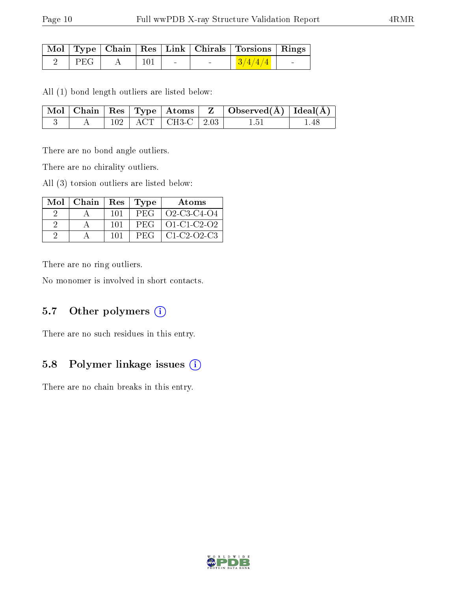|         |   |             |                         | Mol   Type   Chain   Res   Link   Chirals   Torsions   Rings |  |
|---------|---|-------------|-------------------------|--------------------------------------------------------------|--|
| ' PEG । | A | $\perp$ 101 | the company's company's | $\frac{3}{4/4}$                                              |  |

All (1) bond length outliers are listed below:

|  |  |                            | $\vert$ Mol $\vert$ Chain $\vert$ Res $\vert$ Type $\vert$ Atoms $\vert$ Z $\vert$ Observed(A) $\vert$ Ideal(A) |       |
|--|--|----------------------------|-----------------------------------------------------------------------------------------------------------------|-------|
|  |  | $102$   ACT   CH3-C   2.03 | 1.51                                                                                                            | -1.48 |

There are no bond angle outliers.

There are no chirality outliers.

All (3) torsion outliers are listed below:

| $Mol$   Chain |      | Res   Type | Atoms       |
|---------------|------|------------|-------------|
|               | -101 | PEG        | Q2-C3-C4-Q4 |
|               | 101  | <b>PEG</b> | 01-C1-C2-02 |
|               | 101  | <b>PEG</b> | $C1-C2-C3$  |

There are no ring outliers.

No monomer is involved in short contacts.

### 5.7 [O](https://www.wwpdb.org/validation/2017/XrayValidationReportHelp#nonstandard_residues_and_ligands)ther polymers  $(i)$

There are no such residues in this entry.

### 5.8 Polymer linkage issues (i)

There are no chain breaks in this entry.

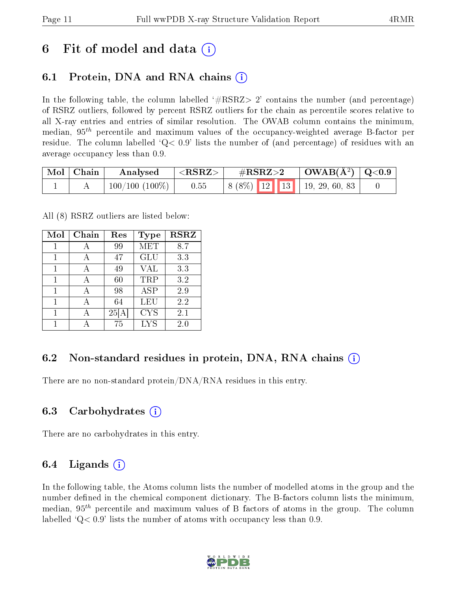## 6 Fit of model and data  $\left( \cdot \right)$

### 6.1 Protein, DNA and RNA chains (i)

In the following table, the column labelled  $#RSRZ>2'$  contains the number (and percentage) of RSRZ outliers, followed by percent RSRZ outliers for the chain as percentile scores relative to all X-ray entries and entries of similar resolution. The OWAB column contains the minimum, median,  $95<sup>th</sup>$  percentile and maximum values of the occupancy-weighted average B-factor per residue. The column labelled  $Q< 0.9$  lists the number of (and percentage) of residues with an average occupancy less than 0.9.

| Mol | Chain | Analysed         | ${ <\hspace{-1.5pt}{\mathrm{RSRZ}} \hspace{-1.5pt}>}$ | $\#\text{RSRZ}\text{>2}$           | $\mid$ OWAB(Å <sup>2</sup> ) $\mid$ Q<0.9 |  |
|-----|-------|------------------|-------------------------------------------------------|------------------------------------|-------------------------------------------|--|
|     |       | $100/100(100\%)$ | 0.55                                                  | $\mid 8(8\%)$ 12 13 19, 29, 60, 83 |                                           |  |

All (8) RSRZ outliers are listed below:

| Mol | Chain | Res | <b>Type</b> | <b>RSRZ</b> |
|-----|-------|-----|-------------|-------------|
| 1   | А     | 99  | <b>MET</b>  | 8.7         |
| 1   | А     | 47  | <b>GLU</b>  | 3.3         |
| 1   | А     | 49  | <b>VAL</b>  | 3.3         |
| 1   | А     | 60  | TRP         | 3.2         |
| 1   |       | 98  | <b>ASP</b>  | 2.9         |
| 1   |       | 64  | LEU         | 2.2         |
| 1   |       | 25  | <b>CYS</b>  | 2.1         |
|     |       | 75  | <b>LYS</b>  | $2.0\,$     |

### 6.2 Non-standard residues in protein, DNA, RNA chains  $(i)$

There are no non-standard protein/DNA/RNA residues in this entry.

#### 6.3 Carbohydrates (i)

There are no carbohydrates in this entry.

#### 6.4 Ligands  $(i)$

In the following table, the Atoms column lists the number of modelled atoms in the group and the number defined in the chemical component dictionary. The B-factors column lists the minimum, median,  $95<sup>th</sup>$  percentile and maximum values of B factors of atoms in the group. The column labelled  $Q< 0.9$ ' lists the number of atoms with occupancy less than 0.9.